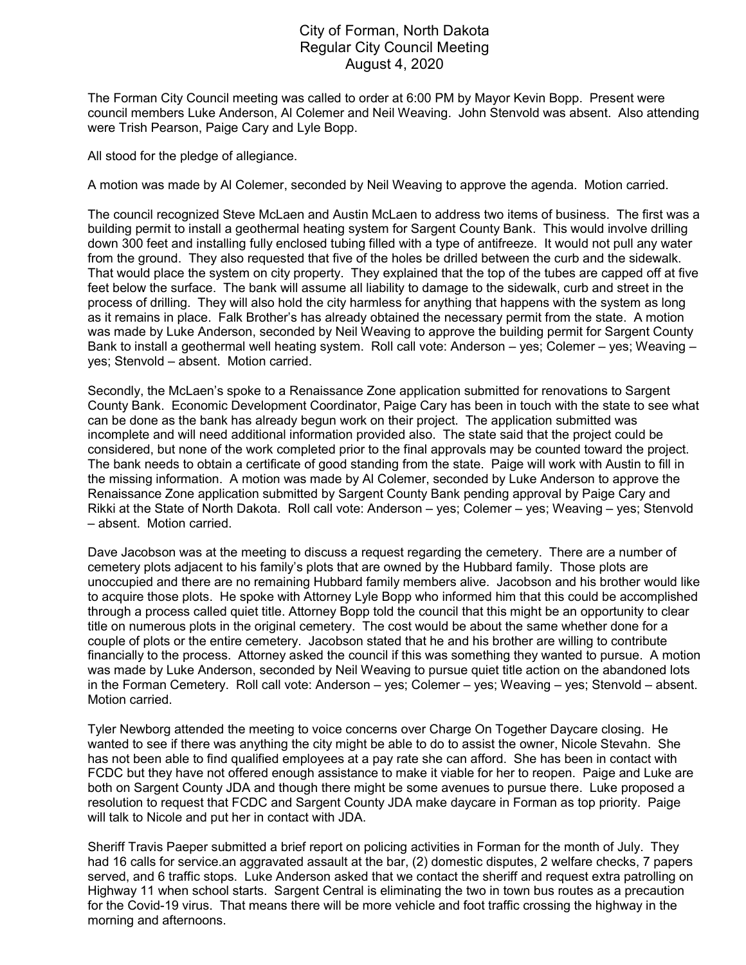## City of Forman, North Dakota Regular City Council Meeting August 4, 2020

The Forman City Council meeting was called to order at 6:00 PM by Mayor Kevin Bopp. Present were council members Luke Anderson, Al Colemer and Neil Weaving. John Stenvold was absent. Also attending were Trish Pearson, Paige Cary and Lyle Bopp.

All stood for the pledge of allegiance.

A motion was made by Al Colemer, seconded by Neil Weaving to approve the agenda. Motion carried.

The council recognized Steve McLaen and Austin McLaen to address two items of business. The first was a building permit to install a geothermal heating system for Sargent County Bank. This would involve drilling down 300 feet and installing fully enclosed tubing filled with a type of antifreeze. It would not pull any water from the ground. They also requested that five of the holes be drilled between the curb and the sidewalk. That would place the system on city property. They explained that the top of the tubes are capped off at five feet below the surface. The bank will assume all liability to damage to the sidewalk, curb and street in the process of drilling. They will also hold the city harmless for anything that happens with the system as long as it remains in place. Falk Brother's has already obtained the necessary permit from the state. A motion was made by Luke Anderson, seconded by Neil Weaving to approve the building permit for Sargent County Bank to install a geothermal well heating system. Roll call vote: Anderson – yes; Colemer – yes; Weaving – yes; Stenvold – absent. Motion carried.

Secondly, the McLaen's spoke to a Renaissance Zone application submitted for renovations to Sargent County Bank. Economic Development Coordinator, Paige Cary has been in touch with the state to see what can be done as the bank has already begun work on their project. The application submitted was incomplete and will need additional information provided also. The state said that the project could be considered, but none of the work completed prior to the final approvals may be counted toward the project. The bank needs to obtain a certificate of good standing from the state. Paige will work with Austin to fill in the missing information. A motion was made by Al Colemer, seconded by Luke Anderson to approve the Renaissance Zone application submitted by Sargent County Bank pending approval by Paige Cary and Rikki at the State of North Dakota. Roll call vote: Anderson – yes; Colemer – yes; Weaving – yes; Stenvold – absent. Motion carried.

Dave Jacobson was at the meeting to discuss a request regarding the cemetery. There are a number of cemetery plots adjacent to his family's plots that are owned by the Hubbard family. Those plots are unoccupied and there are no remaining Hubbard family members alive. Jacobson and his brother would like to acquire those plots. He spoke with Attorney Lyle Bopp who informed him that this could be accomplished through a process called quiet title. Attorney Bopp told the council that this might be an opportunity to clear title on numerous plots in the original cemetery. The cost would be about the same whether done for a couple of plots or the entire cemetery. Jacobson stated that he and his brother are willing to contribute financially to the process. Attorney asked the council if this was something they wanted to pursue. A motion was made by Luke Anderson, seconded by Neil Weaving to pursue quiet title action on the abandoned lots in the Forman Cemetery. Roll call vote: Anderson – yes; Colemer – yes; Weaving – yes; Stenvold – absent. Motion carried.

Tyler Newborg attended the meeting to voice concerns over Charge On Together Daycare closing. He wanted to see if there was anything the city might be able to do to assist the owner, Nicole Stevahn. She has not been able to find qualified employees at a pay rate she can afford. She has been in contact with FCDC but they have not offered enough assistance to make it viable for her to reopen. Paige and Luke are both on Sargent County JDA and though there might be some avenues to pursue there. Luke proposed a resolution to request that FCDC and Sargent County JDA make daycare in Forman as top priority. Paige will talk to Nicole and put her in contact with JDA.

Sheriff Travis Paeper submitted a brief report on policing activities in Forman for the month of July. They had 16 calls for service.an aggravated assault at the bar, (2) domestic disputes, 2 welfare checks, 7 papers served, and 6 traffic stops. Luke Anderson asked that we contact the sheriff and request extra patrolling on Highway 11 when school starts. Sargent Central is eliminating the two in town bus routes as a precaution for the Covid-19 virus. That means there will be more vehicle and foot traffic crossing the highway in the morning and afternoons.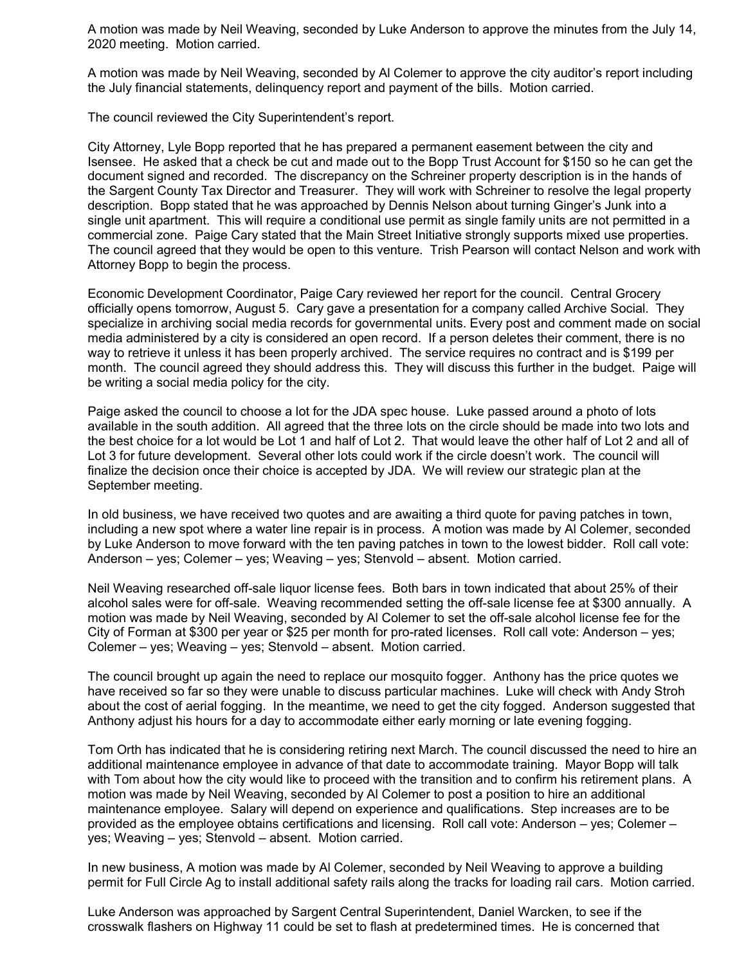A motion was made by Neil Weaving, seconded by Luke Anderson to approve the minutes from the July 14, 2020 meeting. Motion carried.

A motion was made by Neil Weaving, seconded by Al Colemer to approve the city auditor's report including the July financial statements, delinquency report and payment of the bills. Motion carried.

The council reviewed the City Superintendent's report.

City Attorney, Lyle Bopp reported that he has prepared a permanent easement between the city and Isensee. He asked that a check be cut and made out to the Bopp Trust Account for \$150 so he can get the document signed and recorded. The discrepancy on the Schreiner property description is in the hands of the Sargent County Tax Director and Treasurer. They will work with Schreiner to resolve the legal property description. Bopp stated that he was approached by Dennis Nelson about turning Ginger's Junk into a single unit apartment. This will require a conditional use permit as single family units are not permitted in a commercial zone. Paige Cary stated that the Main Street Initiative strongly supports mixed use properties. The council agreed that they would be open to this venture. Trish Pearson will contact Nelson and work with Attorney Bopp to begin the process.

Economic Development Coordinator, Paige Cary reviewed her report for the council. Central Grocery officially opens tomorrow, August 5. Cary gave a presentation for a company called Archive Social. They specialize in archiving social media records for governmental units. Every post and comment made on social media administered by a city is considered an open record. If a person deletes their comment, there is no way to retrieve it unless it has been properly archived. The service requires no contract and is \$199 per month. The council agreed they should address this. They will discuss this further in the budget. Paige will be writing a social media policy for the city.

Paige asked the council to choose a lot for the JDA spec house. Luke passed around a photo of lots available in the south addition. All agreed that the three lots on the circle should be made into two lots and the best choice for a lot would be Lot 1 and half of Lot 2. That would leave the other half of Lot 2 and all of Lot 3 for future development. Several other lots could work if the circle doesn't work. The council will finalize the decision once their choice is accepted by JDA. We will review our strategic plan at the September meeting.

In old business, we have received two quotes and are awaiting a third quote for paving patches in town, including a new spot where a water line repair is in process. A motion was made by Al Colemer, seconded by Luke Anderson to move forward with the ten paving patches in town to the lowest bidder. Roll call vote: Anderson – yes; Colemer – yes; Weaving – yes; Stenvold – absent. Motion carried.

Neil Weaving researched off-sale liquor license fees. Both bars in town indicated that about 25% of their alcohol sales were for off-sale. Weaving recommended setting the off-sale license fee at \$300 annually. A motion was made by Neil Weaving, seconded by Al Colemer to set the off-sale alcohol license fee for the City of Forman at \$300 per year or \$25 per month for pro-rated licenses. Roll call vote: Anderson – yes; Colemer – yes; Weaving – yes; Stenvold – absent. Motion carried.

The council brought up again the need to replace our mosquito fogger. Anthony has the price quotes we have received so far so they were unable to discuss particular machines. Luke will check with Andy Stroh about the cost of aerial fogging. In the meantime, we need to get the city fogged. Anderson suggested that Anthony adjust his hours for a day to accommodate either early morning or late evening fogging.

Tom Orth has indicated that he is considering retiring next March. The council discussed the need to hire an additional maintenance employee in advance of that date to accommodate training. Mayor Bopp will talk with Tom about how the city would like to proceed with the transition and to confirm his retirement plans. A motion was made by Neil Weaving, seconded by Al Colemer to post a position to hire an additional maintenance employee. Salary will depend on experience and qualifications. Step increases are to be provided as the employee obtains certifications and licensing. Roll call vote: Anderson – yes; Colemer – yes; Weaving – yes; Stenvold – absent. Motion carried.

In new business, A motion was made by Al Colemer, seconded by Neil Weaving to approve a building permit for Full Circle Ag to install additional safety rails along the tracks for loading rail cars. Motion carried.

Luke Anderson was approached by Sargent Central Superintendent, Daniel Warcken, to see if the crosswalk flashers on Highway 11 could be set to flash at predetermined times. He is concerned that